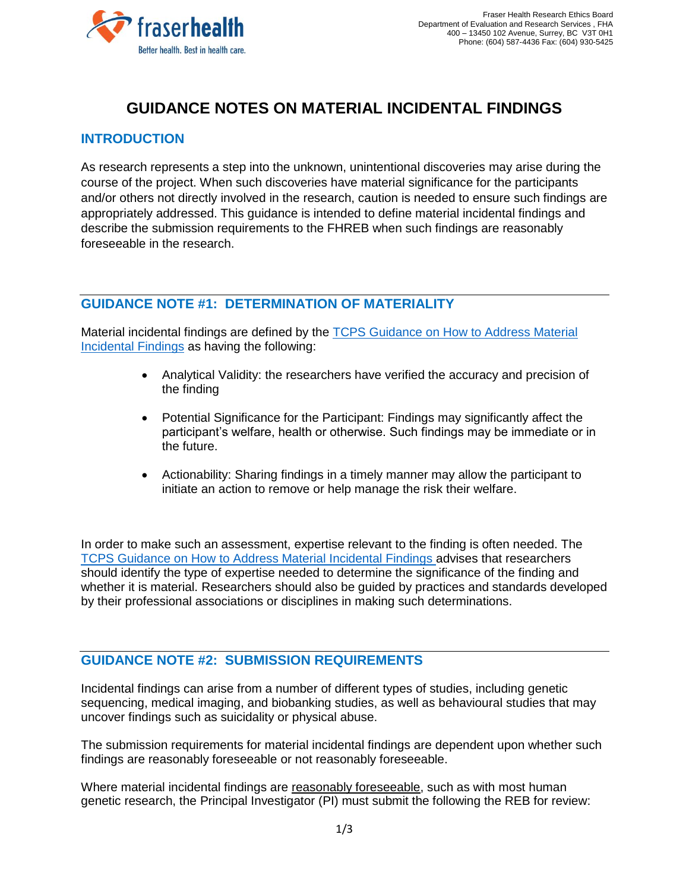

# **GUIDANCE NOTES ON MATERIAL INCIDENTAL FINDINGS**

### **INTRODUCTION**

As research represents a step into the unknown, unintentional discoveries may arise during the course of the project. When such discoveries have material significance for the participants and/or others not directly involved in the research, caution is needed to ensure such findings are appropriately addressed. This guidance is intended to define material incidental findings and describe the submission requirements to the FHREB when such findings are reasonably foreseeable in the research.

## **GUIDANCE NOTE #1: DETERMINATION OF MATERIALITY**

Material incidental findings are defined by the TCPS [Guidance on How to Address Material](https://ethics.gc.ca/eng/documents/incidental_findings_en.pdf)  [Incidental Findings](https://ethics.gc.ca/eng/documents/incidental_findings_en.pdf) as having the following:

- Analytical Validity: the researchers have verified the accuracy and precision of the finding
- Potential Significance for the Participant: Findings may significantly affect the participant's welfare, health or otherwise. Such findings may be immediate or in the future.
- Actionability: Sharing findings in a timely manner may allow the participant to initiate an action to remove or help manage the risk their welfare.

In order to make such an assessment, expertise relevant to the finding is often needed. The [TCPS Guidance on How to Address Material Incidental Findings](https://ethics.gc.ca/eng/documents/incidental_findings_en.pdf) advises that researchers should identify the type of expertise needed to determine the significance of the finding and whether it is material. Researchers should also be guided by practices and standards developed by their professional associations or disciplines in making such determinations.

## **GUIDANCE NOTE #2: SUBMISSION REQUIREMENTS**

Incidental findings can arise from a number of different types of studies, including genetic sequencing, medical imaging, and biobanking studies, as well as behavioural studies that may uncover findings such as suicidality or physical abuse.

The submission requirements for material incidental findings are dependent upon whether such findings are reasonably foreseeable or not reasonably foreseeable.

Where material incidental findings are reasonably foreseeable, such as with most human genetic research, the Principal Investigator (PI) must submit the following the REB for review: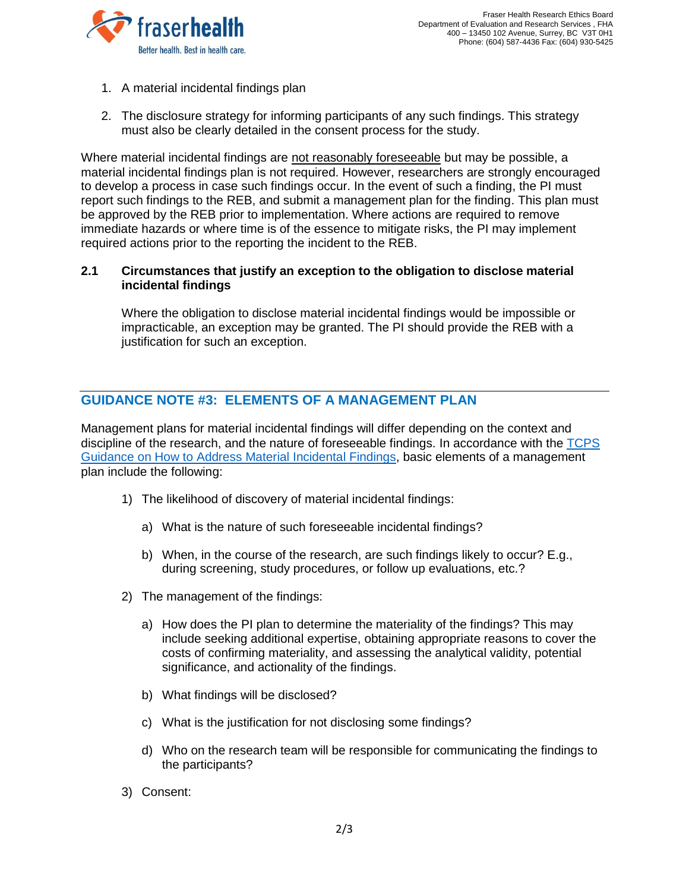- 1. A material incidental findings plan
- 2. The disclosure strategy for informing participants of any such findings. This strategy must also be clearly detailed in the consent process for the study.

Where material incidental findings are not reasonably foreseeable but may be possible, a material incidental findings plan is not required. However, researchers are strongly encouraged to develop a process in case such findings occur. In the event of such a finding, the PI must report such findings to the REB, and submit a management plan for the finding. This plan must be approved by the REB prior to implementation. Where actions are required to remove immediate hazards or where time is of the essence to mitigate risks, the PI may implement required actions prior to the reporting the incident to the REB.

#### **2.1 Circumstances that justify an exception to the obligation to disclose material incidental findings**

Where the obligation to disclose material incidental findings would be impossible or impracticable, an exception may be granted. The PI should provide the REB with a justification for such an exception.

# **GUIDANCE NOTE #3: ELEMENTS OF A MANAGEMENT PLAN**

Management plans for material incidental findings will differ depending on the context and discipline of the research, and the nature of foreseeable findings. In accordance with the [TCPS](https://ethics.gc.ca/eng/documents/incidental_findings_en.pdf)  [Guidance on How to Address Material Incidental Findings,](https://ethics.gc.ca/eng/documents/incidental_findings_en.pdf) basic elements of a management plan include the following:

- 1) The likelihood of discovery of material incidental findings:
	- a) What is the nature of such foreseeable incidental findings?
	- b) When, in the course of the research, are such findings likely to occur? E.g., during screening, study procedures, or follow up evaluations, etc.?
- 2) The management of the findings:
	- a) How does the PI plan to determine the materiality of the findings? This may include seeking additional expertise, obtaining appropriate reasons to cover the costs of confirming materiality, and assessing the analytical validity, potential significance, and actionality of the findings.
	- b) What findings will be disclosed?
	- c) What is the justification for not disclosing some findings?
	- d) Who on the research team will be responsible for communicating the findings to the participants?
- 3) Consent: